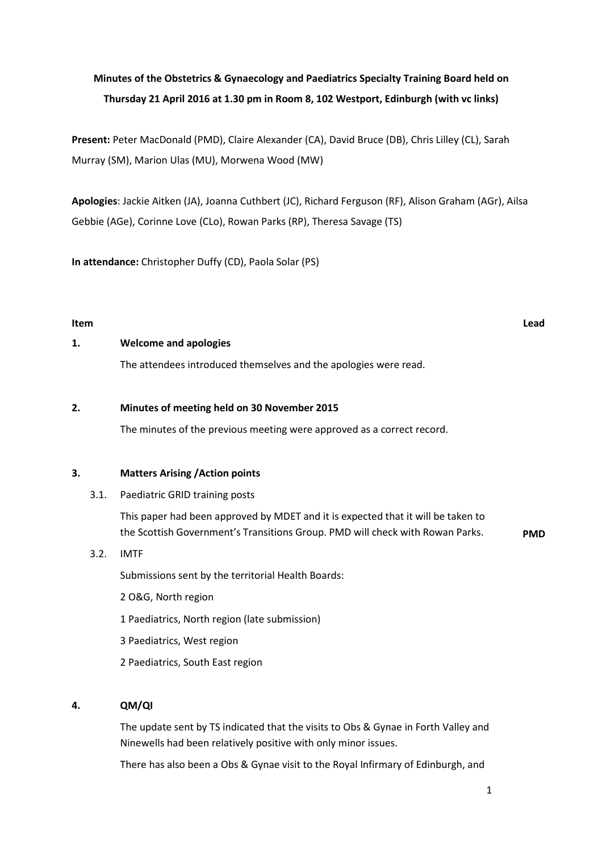# **Minutes of the Obstetrics & Gynaecology and Paediatrics Specialty Training Board held on Thursday 21 April 2016 at 1.30 pm in Room 8, 102 Westport, Edinburgh (with vc links)**

**Present:** Peter MacDonald (PMD), Claire Alexander (CA), David Bruce (DB), Chris Lilley (CL), Sarah Murray (SM), Marion Ulas (MU), Morwena Wood (MW)

**Apologies**: Jackie Aitken (JA), Joanna Cuthbert (JC), Richard Ferguson (RF), Alison Graham (AGr), Ailsa Gebbie (AGe), Corinne Love (CLo), Rowan Parks (RP), Theresa Savage (TS)

**In attendance:** Christopher Duffy (CD), Paola Solar (PS)

#### **Item Lead**

#### **1. Welcome and apologies**

The attendees introduced themselves and the apologies were read.

#### **2. Minutes of meeting held on 30 November 2015**

The minutes of the previous meeting were approved as a correct record.

#### **3. Matters Arising /Action points**

3.1. Paediatric GRID training posts

This paper had been approved by MDET and it is expected that it will be taken to the Scottish Government's Transitions Group. PMD will check with Rowan Parks. **PMD** 

3.2. IMTF

Submissions sent by the territorial Health Boards:

- 2 O&G, North region
- 1 Paediatrics, North region (late submission)
- 3 Paediatrics, West region
- 2 Paediatrics, South East region

#### **4. QM/QI**

The update sent by TS indicated that the visits to Obs & Gynae in Forth Valley and Ninewells had been relatively positive with only minor issues.

There has also been a Obs & Gynae visit to the Royal Infirmary of Edinburgh, and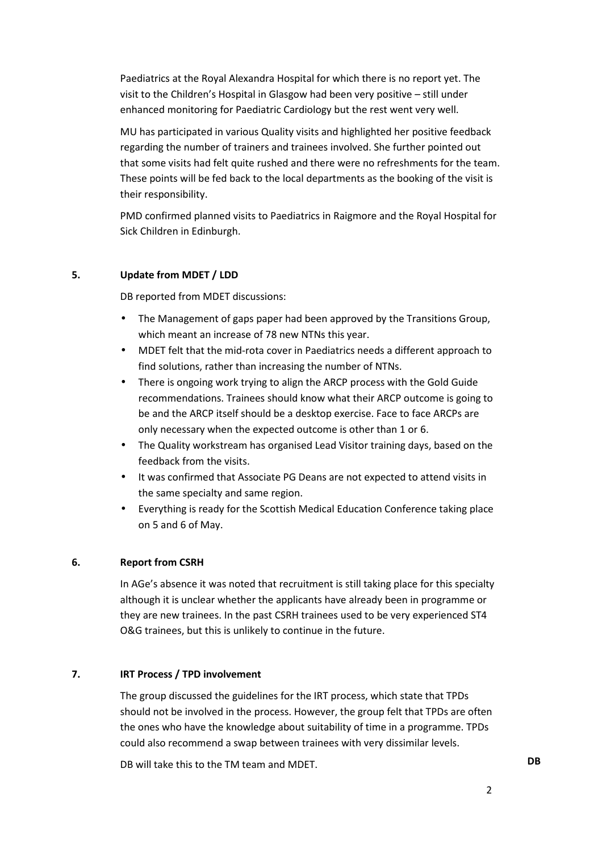Paediatrics at the Royal Alexandra Hospital for which there is no report yet. The visit to the Children's Hospital in Glasgow had been very positive – still under enhanced monitoring for Paediatric Cardiology but the rest went very well.

MU has participated in various Quality visits and highlighted her positive feedback regarding the number of trainers and trainees involved. She further pointed out that some visits had felt quite rushed and there were no refreshments for the team. These points will be fed back to the local departments as the booking of the visit is their responsibility.

PMD confirmed planned visits to Paediatrics in Raigmore and the Royal Hospital for Sick Children in Edinburgh.

### **5. Update from MDET / LDD**

DB reported from MDET discussions:

- The Management of gaps paper had been approved by the Transitions Group, which meant an increase of 78 new NTNs this year.
- MDET felt that the mid-rota cover in Paediatrics needs a different approach to find solutions, rather than increasing the number of NTNs.
- There is ongoing work trying to align the ARCP process with the Gold Guide recommendations. Trainees should know what their ARCP outcome is going to be and the ARCP itself should be a desktop exercise. Face to face ARCPs are only necessary when the expected outcome is other than 1 or 6.
- The Quality workstream has organised Lead Visitor training days, based on the feedback from the visits.
- It was confirmed that Associate PG Deans are not expected to attend visits in the same specialty and same region.
- Everything is ready for the Scottish Medical Education Conference taking place on 5 and 6 of May.

#### **6. Report from CSRH**

In AGe's absence it was noted that recruitment is still taking place for this specialty although it is unclear whether the applicants have already been in programme or they are new trainees. In the past CSRH trainees used to be very experienced ST4 O&G trainees, but this is unlikely to continue in the future.

#### **7. IRT Process / TPD involvement**

The group discussed the guidelines for the IRT process, which state that TPDs should not be involved in the process. However, the group felt that TPDs are often the ones who have the knowledge about suitability of time in a programme. TPDs could also recommend a swap between trainees with very dissimilar levels.

DB will take this to the TM team and MDET. **DB** 

2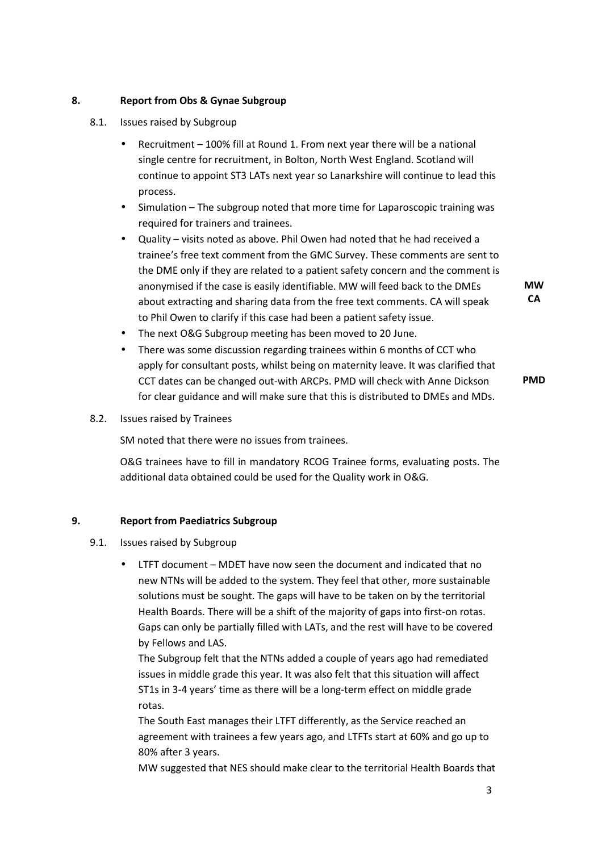# **8. Report from Obs & Gynae Subgroup**

- 8.1. Issues raised by Subgroup
	- Recruitment 100% fill at Round 1. From next year there will be a national single centre for recruitment, in Bolton, North West England. Scotland will continue to appoint ST3 LATs next year so Lanarkshire will continue to lead this process.
	- Simulation The subgroup noted that more time for Laparoscopic training was required for trainers and trainees.
	- Quality visits noted as above. Phil Owen had noted that he had received a trainee's free text comment from the GMC Survey. These comments are sent to the DME only if they are related to a patient safety concern and the comment is anonymised if the case is easily identifiable. MW will feed back to the DMEs about extracting and sharing data from the free text comments. CA will speak to Phil Owen to clarify if this case had been a patient safety issue.
	- The next O&G Subgroup meeting has been moved to 20 June.
	- There was some discussion regarding trainees within 6 months of CCT who apply for consultant posts, whilst being on maternity leave. It was clarified that CCT dates can be changed out-with ARCPs. PMD will check with Anne Dickson for clear guidance and will make sure that this is distributed to DMEs and MDs.
- 8.2. Issues raised by Trainees

SM noted that there were no issues from trainees.

O&G trainees have to fill in mandatory RCOG Trainee forms, evaluating posts. The additional data obtained could be used for the Quality work in O&G.

# **9. Report from Paediatrics Subgroup**

- 9.1. Issues raised by Subgroup
	- LTFT document MDET have now seen the document and indicated that no new NTNs will be added to the system. They feel that other, more sustainable solutions must be sought. The gaps will have to be taken on by the territorial Health Boards. There will be a shift of the majority of gaps into first-on rotas. Gaps can only be partially filled with LATs, and the rest will have to be covered by Fellows and LAS.

The Subgroup felt that the NTNs added a couple of years ago had remediated issues in middle grade this year. It was also felt that this situation will affect ST1s in 3-4 years' time as there will be a long-term effect on middle grade rotas.

The South East manages their LTFT differently, as the Service reached an agreement with trainees a few years ago, and LTFTs start at 60% and go up to 80% after 3 years.

MW suggested that NES should make clear to the territorial Health Boards that

**MW CA**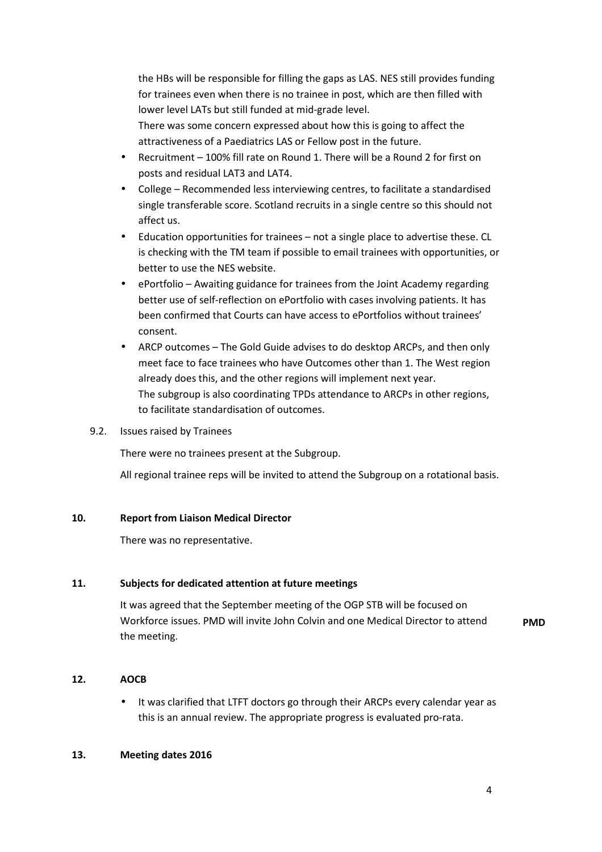the HBs will be responsible for filling the gaps as LAS. NES still provides funding for trainees even when there is no trainee in post, which are then filled with lower level LATs but still funded at mid-grade level. There was some concern expressed about how this is going to affect the attractiveness of a Paediatrics LAS or Fellow post in the future.

- Recruitment 100% fill rate on Round 1. There will be a Round 2 for first on posts and residual LAT3 and LAT4.
- College Recommended less interviewing centres, to facilitate a standardised single transferable score. Scotland recruits in a single centre so this should not affect us.
- Education opportunities for trainees not a single place to advertise these. CL is checking with the TM team if possible to email trainees with opportunities, or better to use the NES website.
- ePortfolio Awaiting guidance for trainees from the Joint Academy regarding better use of self-reflection on ePortfolio with cases involving patients. It has been confirmed that Courts can have access to ePortfolios without trainees' consent.
- ARCP outcomes The Gold Guide advises to do desktop ARCPs, and then only meet face to face trainees who have Outcomes other than 1. The West region already does this, and the other regions will implement next year. The subgroup is also coordinating TPDs attendance to ARCPs in other regions, to facilitate standardisation of outcomes.
- 9.2. Issues raised by Trainees

There were no trainees present at the Subgroup.

All regional trainee reps will be invited to attend the Subgroup on a rotational basis.

#### **10. Report from Liaison Medical Director**

There was no representative.

#### **11. Subjects for dedicated attention at future meetings**

It was agreed that the September meeting of the OGP STB will be focused on Workforce issues. PMD will invite John Colvin and one Medical Director to attend the meeting. **PMD** 

#### **12. AOCB**

• It was clarified that LTFT doctors go through their ARCPs every calendar year as this is an annual review. The appropriate progress is evaluated pro-rata.

#### **13. Meeting dates 2016**